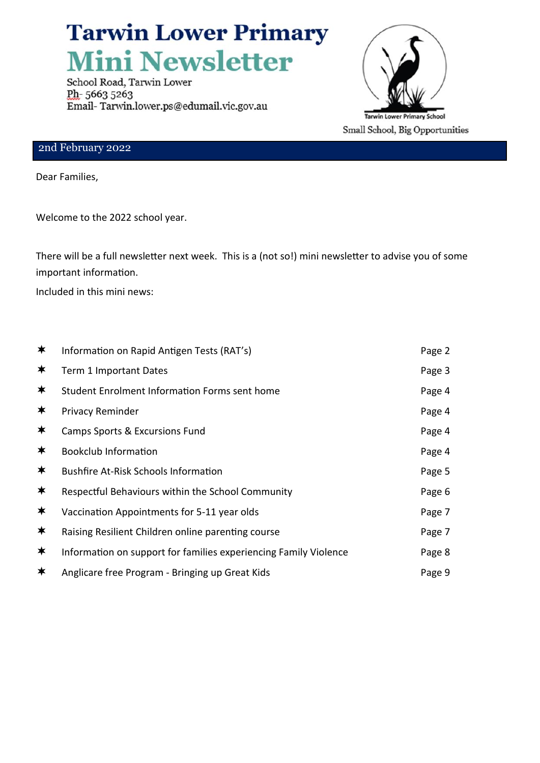# **Tarwin Lower Primary Mini Newsletter**

School Road, Tarwin Lower Ph-56635263 Email-Tarwin.lower.ps@edumail.vic.gov.au



#### 2nd February 2022

Dear Families,

Welcome to the 2022 school year.

There will be a full newsletter next week. This is a (not so!) mini newsletter to advise you of some important information.

Included in this mini news:

| ∗ | Information on Rapid Antigen Tests (RAT's)                       | Page 2 |
|---|------------------------------------------------------------------|--------|
| ∗ | Term 1 Important Dates                                           | Page 3 |
| ∗ | Student Enrolment Information Forms sent home                    | Page 4 |
| ∗ | <b>Privacy Reminder</b>                                          | Page 4 |
| ∗ | <b>Camps Sports &amp; Excursions Fund</b>                        | Page 4 |
| ∗ | <b>Bookclub Information</b>                                      | Page 4 |
| ∗ | <b>Bushfire At-Risk Schools Information</b>                      | Page 5 |
| ∗ | Respectful Behaviours within the School Community                | Page 6 |
| ∗ | Vaccination Appointments for 5-11 year olds                      | Page 7 |
| ∗ | Raising Resilient Children online parenting course               | Page 7 |
| ∗ | Information on support for families experiencing Family Violence | Page 8 |
| ∗ | Anglicare free Program - Bringing up Great Kids                  | Page 9 |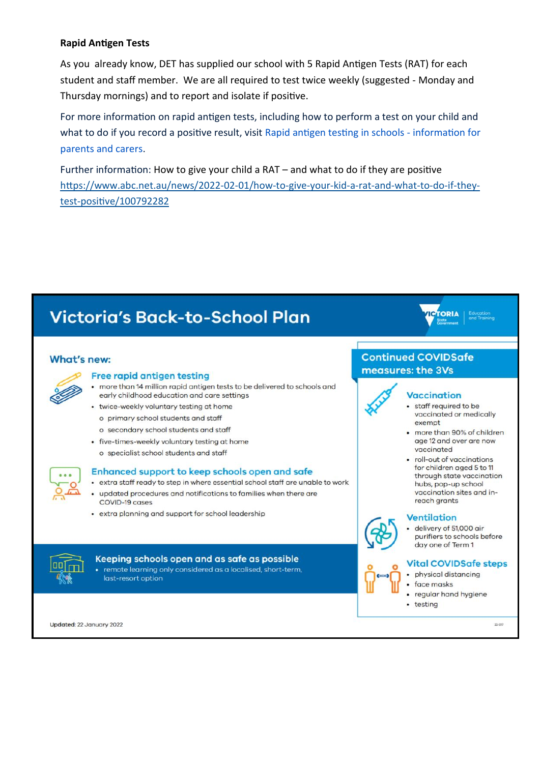#### **Rapid Antigen Tests**

As you already know, DET has supplied our school with 5 Rapid Antigen Tests (RAT) for each student and staff member. We are all required to test twice weekly (suggested - Monday and Thursday mornings) and to report and isolate if positive.

For more information on rapid antigen tests, including how to perform a test on your child and what to do if you record a positive result, visit Rapid antigen testing in schools - information for parents and carers.

Further information: How to give your child a RAT - and what to do if they are positive https://www.abc.net.au/news/2022-02-01/how-to-give-vour-kid-a-rat-and-what-to-do-if-theytest-positive/100792282

## **Victoria's Back-to-School Plan**

#### What's new:



#### Free rapid antigen testing

- more than 14 million rapid antigen tests to be delivered to schools and early childhood education and care settings
- twice-weekly voluntary testing at home
	- o primary school students and staff
	- o secondary school students and staff
- five-times-weekly voluntary testing at home
	- o specialist school students and staff

#### Enhanced support to keep schools open and safe

- extra staff ready to step in where essential school staff are unable to work
- updated procedures and notifications to families when there are COVID-19 cases
- extra planning and support for school leadership



Keeping schools open and as safe as possible • remote learning only considered as a localised, short-term, last-resort option



#### **Continued COVIDSafe** measures: the 3Vs



#### **Vaccination**

- · staff required to be vaccinated or medically exempt
- more than 90% of children age 12 and over are now vaccinated
- · roll-out of vaccinations for children aged 5 to 11 through state vaccination hubs, pop-up school vaccination sites and inreach grants

#### **Ventilation**



#### · delivery of 51,000 air purifiers to schools before day one of Term 1

#### **Vital COVIDSafe steps**

- physical distancing
- face masks
- regular hand hygiene
- testing

22-017

Updated: 22 January 2022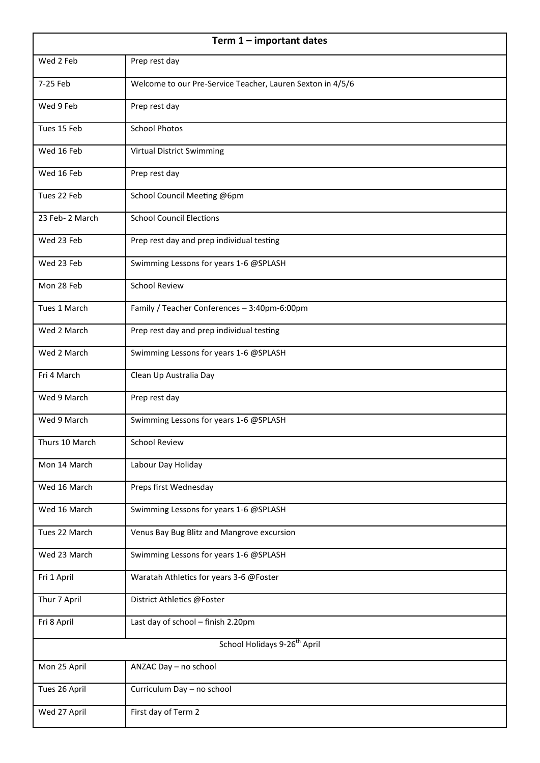| Term $1$ – important dates               |                                                            |  |  |
|------------------------------------------|------------------------------------------------------------|--|--|
| Wed 2 Feb                                | Prep rest day                                              |  |  |
| 7-25 Feb                                 | Welcome to our Pre-Service Teacher, Lauren Sexton in 4/5/6 |  |  |
| Wed 9 Feb                                | Prep rest day                                              |  |  |
| Tues 15 Feb                              | <b>School Photos</b>                                       |  |  |
| Wed 16 Feb                               | Virtual District Swimming                                  |  |  |
| Wed 16 Feb                               | Prep rest day                                              |  |  |
| Tues 22 Feb                              | School Council Meeting @6pm                                |  |  |
| 23 Feb-2 March                           | <b>School Council Elections</b>                            |  |  |
| Wed 23 Feb                               | Prep rest day and prep individual testing                  |  |  |
| Wed 23 Feb                               | Swimming Lessons for years 1-6 @SPLASH                     |  |  |
| Mon 28 Feb                               | <b>School Review</b>                                       |  |  |
| Tues 1 March                             | Family / Teacher Conferences - 3:40pm-6:00pm               |  |  |
| Wed 2 March                              | Prep rest day and prep individual testing                  |  |  |
| Wed 2 March                              | Swimming Lessons for years 1-6 @SPLASH                     |  |  |
| Fri 4 March                              | Clean Up Australia Day                                     |  |  |
| Wed 9 March                              | Prep rest day                                              |  |  |
| Wed 9 March                              | Swimming Lessons for years 1-6 @SPLASH                     |  |  |
| Thurs 10 March                           | <b>School Review</b>                                       |  |  |
| Mon 14 March                             | Labour Day Holiday                                         |  |  |
| Wed 16 March                             | Preps first Wednesday                                      |  |  |
| Wed 16 March                             | Swimming Lessons for years 1-6 @SPLASH                     |  |  |
| Tues 22 March                            | Venus Bay Bug Blitz and Mangrove excursion                 |  |  |
| Wed 23 March                             | Swimming Lessons for years 1-6 @SPLASH                     |  |  |
| Fri 1 April                              | Waratah Athletics for years 3-6 @Foster                    |  |  |
| Thur 7 April                             | District Athletics @Foster                                 |  |  |
| Fri 8 April                              | Last day of school - finish 2.20pm                         |  |  |
| School Holidays 9-26 <sup>th</sup> April |                                                            |  |  |
| Mon 25 April                             | ANZAC Day - no school                                      |  |  |
| Tues 26 April                            | Curriculum Day - no school                                 |  |  |
| Wed 27 April                             | First day of Term 2                                        |  |  |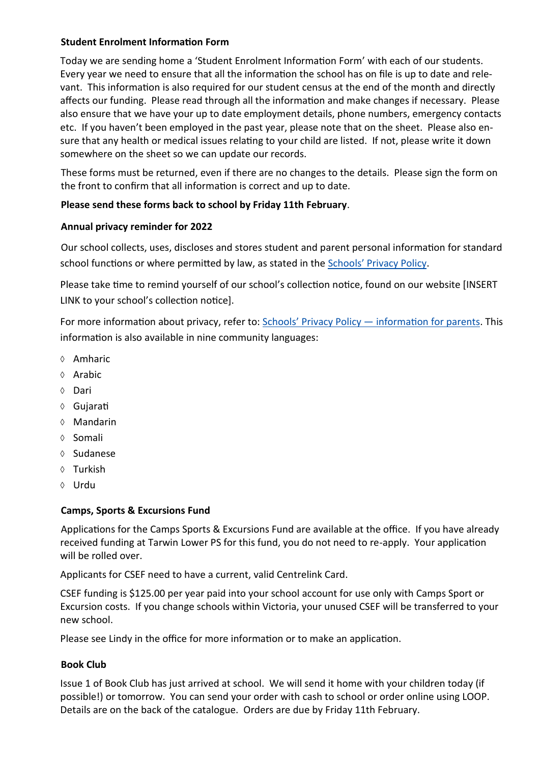#### **Student Enrolment Information Form**

Today we are sending home a 'Student Enrolment Information Form' with each of our students. Every year we need to ensure that all the information the school has on file is up to date and relevant. This information is also required for our student census at the end of the month and directly affects our funding. Please read through all the information and make changes if necessary. Please also ensure that we have your up to date employment details, phone numbers, emergency contacts etc. If you haven't been employed in the past year, please note that on the sheet. Please also ensure that any health or medical issues relating to your child are listed. If not, please write it down somewhere on the sheet so we can update our records.

These forms must be returned, even if there are no changes to the details. Please sign the form on the front to confirm that all information is correct and up to date.

#### **Please send these forms back to school by Friday 11th February**.

#### **Annual privacy reminder for 2022**

Our school collects, uses, discloses and stores student and parent personal information for standard school functions or where permitted by law, as stated in the Schools' [Privacy Policy.](https://www.education.vic.gov.au/Pages/schoolsprivacypolicy.aspx)

Please take time to remind yourself of our school's collection notice, found on our website [INSERT LINK to your school's collection notice].

For more information about privacy, refer to: Schools' Privacy Policy — [information for parents.](https://www.education.vic.gov.au/Pages/Schools-Privacy-Policy-information-for-parents.aspx) This information is also available in nine community languages:

- ♦ Amharic
- $\lozenge$  Arabic
- Dari
- Gujarati
- Mandarin
- ◊ Somali
- ♦ Sudanese
- Turkish
- Urdu

#### **Camps, Sports & Excursions Fund**

Applications for the Camps Sports & Excursions Fund are available at the office. If you have already received funding at Tarwin Lower PS for this fund, you do not need to re-apply. Your application will be rolled over.

Applicants for CSEF need to have a current, valid Centrelink Card.

CSEF funding is \$125.00 per year paid into your school account for use only with Camps Sport or Excursion costs. If you change schools within Victoria, your unused CSEF will be transferred to your new school.

Please see Lindy in the office for more information or to make an application.

#### **Book Club**

Issue 1 of Book Club has just arrived at school. We will send it home with your children today (if possible!) or tomorrow. You can send your order with cash to school or order online using LOOP. Details are on the back of the catalogue. Orders are due by Friday 11th February.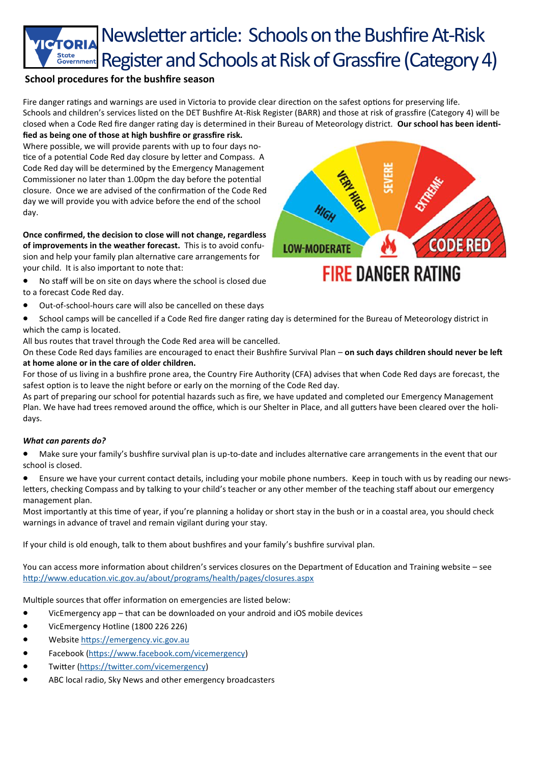## Newsletter article: Schools on the Bushfire At-Risk State Government Register and Schools at Risk of Grassfire (Category 4)

#### **School procedures for the bushfire season**

Fire danger ratings and warnings are used in Victoria to provide clear direction on the safest options for preserving life. Schools and children's services listed on the DET Bushfire At-Risk Register (BARR) and those at risk of grassfire (Category 4) will be closed when a Code Red fire danger rating day is determined in their Bureau of Meteorology district. **Our school has been identified as being one of those at high bushfire or grassfire risk.** 

Where possible, we will provide parents with up to four days notice of a potential Code Red day closure by letter and Compass. A Code Red day will be determined by the Emergency Management Commissioner no later than 1.00pm the day before the potential closure. Once we are advised of the confirmation of the Code Red day we will provide you with advice before the end of the school day.

**Once confirmed, the decision to close will not change, regardless of improvements in the weather forecast.** This is to avoid confusion and help your family plan alternative care arrangements for your child. It is also important to note that:

• No staff will be on site on days where the school is closed due to a forecast Code Red day.

- Out-of-school-hours care will also be cancelled on these days
- School camps will be cancelled if a Code Red fire danger rating day is determined for the Bureau of Meteorology district in which the camp is located.

All bus routes that travel through the Code Red area will be cancelled.

On these Code Red days families are encouraged to enact their Bushfire Survival Plan – **on such days children should never be left at home alone or in the care of older children.**

For those of us living in a bushfire prone area, the Country Fire Authority (CFA) advises that when Code Red days are forecast, the safest option is to leave the night before or early on the morning of the Code Red day.

As part of preparing our school for potential hazards such as fire, we have updated and completed our Emergency Management Plan. We have had trees removed around the office, which is our Shelter in Place, and all gutters have been cleared over the holidays.

#### *What can parents do?*

- Make sure your family's bushfire survival plan is up-to-date and includes alternative care arrangements in the event that our school is closed.
- Ensure we have your current contact details, including your mobile phone numbers. Keep in touch with us by reading our newsletters, checking Compass and by talking to your child's teacher or any other member of the teaching staff about our emergency management plan.

Most importantly at this time of year, if you're planning a holiday or short stay in the bush or in a coastal area, you should check warnings in advance of travel and remain vigilant during your stay.

If your child is old enough, talk to them about bushfires and your family's bushfire survival plan.

You can access more information about children's services closures on the Department of Education and Training website – see <http://www.education.vic.gov.au/about/programs/health/pages/closures.aspx>

Multiple sources that offer information on emergencies are listed below:

- VicEmergency app that can be downloaded on your android and iOS mobile devices
- VicEmergency Hotline (1800 226 226)
- Website<https://emergency.vic.gov.au>
- Facebook ([https://www.facebook.com/vicemergency\)](https://www.facebook.com/vicemergency)
- Twitter [\(https://twitter.com/vicemergency\)](https://twitter.com/vicemergency)
- ABC local radio, Sky News and other emergency broadcasters

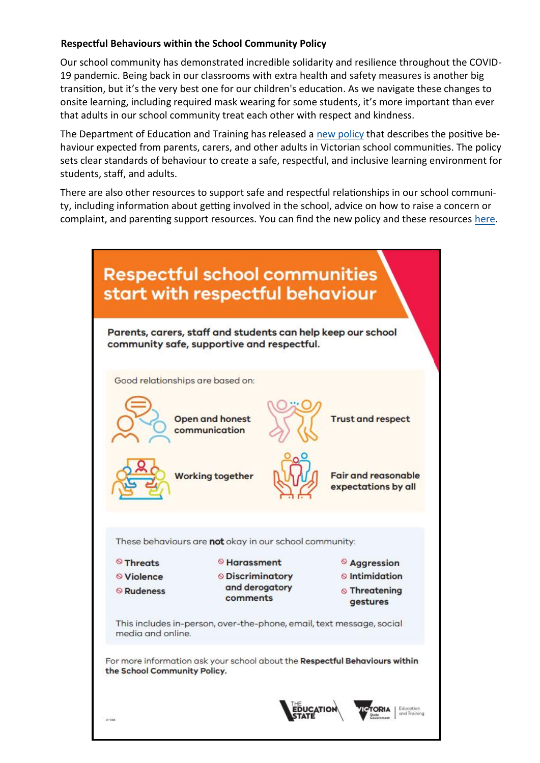#### **Respectful Behaviours within the School Community Policy**

Our school community has demonstrated incredible solidarity and resilience throughout the COVID-19 pandemic. Being back in our classrooms with extra health and safety measures is another big transition, but it's the very best one for our children's education. As we navigate these changes to onsite learning, including required mask wearing for some students, it's more important than ever that adults in our school community treat each other with respect and kindness.

The Department of Education and Training has released a [new policy](https://www.education.vic.gov.au/Pages/Respectful-Behaviours-within-the-School-Community-Policy.aspx) that describes the positive behaviour expected from parents, carers, and other adults in Victorian school communities. The policy sets clear standards of behaviour to create a safe, respectful, and inclusive learning environment for students, staff, and adults.

There are also other resources to support safe and respectful relationships in our school community, including information about getting involved in the school, advice on how to raise a concern or complaint, and parenting support resources. You can find the new policy and these resources [here.](https://www.education.vic.gov.au/parents/going-to-school/Pages/Respectful-behaviours-in-schools.aspx)

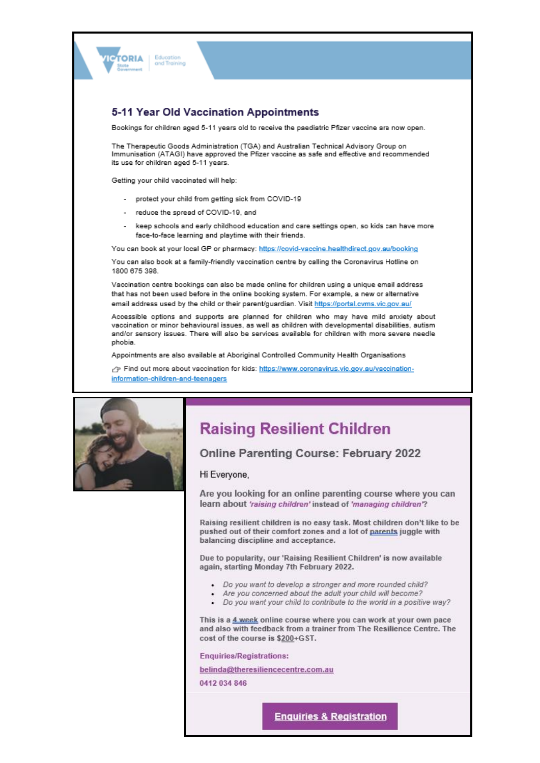

#### 5-11 Year Old Vaccination Appointments

Bookings for children aged 5-11 years old to receive the paediatric Pfizer vaccine are now open.

The Therapeutic Goods Administration (TGA) and Australian Technical Advisory Group on Immunisation (ATAGI) have approved the Pfizer vaccine as safe and effective and recommended its use for children aged 5-11 years.

Getting your child vaccinated will help:

- protect your child from getting sick from COVID-19
- reduce the spread of COVID-19, and
- keep schools and early childhood education and care settings open, so kids can have more face-to-face learning and playtime with their friends.

You can book at your local GP or pharmacy: https://covid-vaccine.healthdirect.gov.au/booking

You can also book at a family-friendly vaccination centre by calling the Coronavirus Hotline on 1800 675 398

Vaccination centre bookings can also be made online for children using a unique email address that has not been used before in the online booking system. For example, a new or alternative email address used by the child or their parent/guardian. Visit https://portal.cvms.vic.gov.au/

Accessible options and supports are planned for children who may have mild anxiety about vaccination or minor behavioural issues, as well as children with developmental disabilities, autism and/or sensory issues. There will also be services available for children with more severe needle phobia.

Appointments are also available at Aboriginal Controlled Community Health Organisations

Find out more about vaccination for kids: https://www.coronavirus.vic.gov.au/vaccinationinformation-children-and-teenagers



### **Raising Resilient Children**

#### Online Parenting Course: February 2022

#### Hi Everyone,

Are you looking for an online parenting course where you can learn about 'raising children' instead of 'managing children'?

Raising resilient children is no easy task. Most children don't like to be pushed out of their comfort zones and a lot of parents juggle with balancing discipline and acceptance.

Due to popularity, our 'Raising Resilient Children' is now available again, starting Monday 7th February 2022.

- Do you want to develop a stronger and more rounded child?
- Are you concerned about the adult your child will become?
- Do you want your child to contribute to the world in a positive way?

This is a 4 week online course where you can work at your own pace and also with feedback from a trainer from The Resilience Centre. The cost of the course is \$200+GST.

**Enquiries/Registrations:** 

belinda@theresiliencecentre.com.au

0412 034 846

**Enquiries & Registration**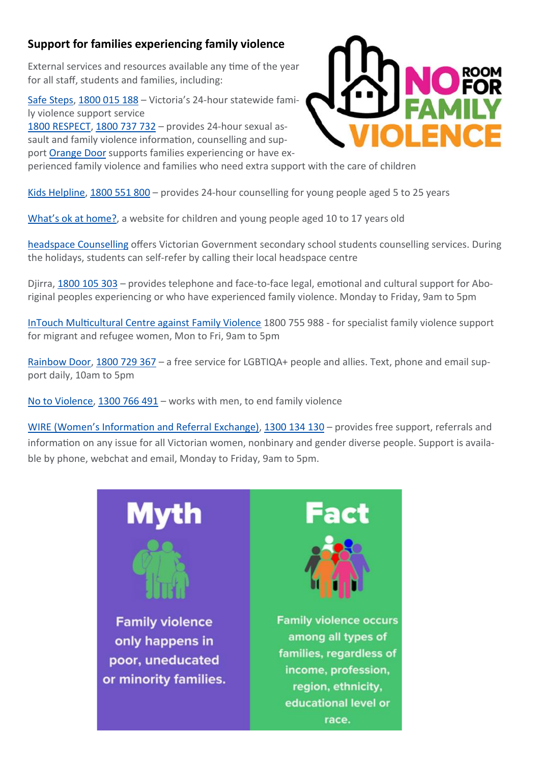#### **Support for families experiencing family violence**

External services and resources available any time of the year for all staff, students and families, including:

[Safe Steps,](https://www.safesteps.org.au/) [1800 015 188](tel:1800015188) – Victoria's 24-hour statewide family violence support service [1800 RESPECT,](https://www.1800respect.org.au/?gclid=Cj0KCQjwuNbsBRC-ARIsAAzITudF6nWbIWXLXIg9LDjPlkqmAGSr1qtYLlrEy1aGwVeTELuyyarfzSQaAoGDEALw_wcB) [1800 737 732](tel:1800737732) – provides 24-hour sexual assault and family violence information, counselling and support **[Orange Door](https://orangedoor.vic.gov.au/)** supports families experiencing or have ex-



perienced family violence and families who need extra support with the care of children

[Kids Helpline,](https://kidshelpline.com.au/) [1800 551 800](tel:1800551800) – provides 24-hour counselling for young people aged 5 to 25 years

What'[s ok at home?,](https://woah.org.au/) a website for children and young people aged 10 to 17 years old

[headspace Counselling](https://headspace.org.au/headspace-centres/) offers Victorian Government secondary school students counselling services. During the holidays, students can self-refer by calling their local headspace centre

Djirra, [1800 105 303](tel:1800105303) – provides telephone and face-to-face legal, emotional and cultural support for Aboriginal peoples experiencing or who have experienced family violence. Monday to Friday, 9am to 5pm

[InTouch Multicultural Centre against Family Violence](https://intouch.org.au/) 1800 755 988 - for specialist family violence support for migrant and refugee women, Mon to Fri, 9am to 5pm

[Rainbow Door,](https://www.rainbowdoor.org.au/) [1800 729 367](tel:1800729367) – a free service for LGBTIQA+ people and allies. Text, phone and email support daily, 10am to 5pm

[No to Violence,](https://ntv.org.au/) [1300 766 491](tel:1300766491) – works with men, to end family violence

WIRE (Women'[s Information and Referral Exchange\),](https://www.wire.org.au/) [1300 134 130](tel:1300134130) – provides free support, referrals and information on any issue for all Victorian women, nonbinary and gender diverse people. Support is available by phone, webchat and email, Monday to Friday, 9am to 5pm.